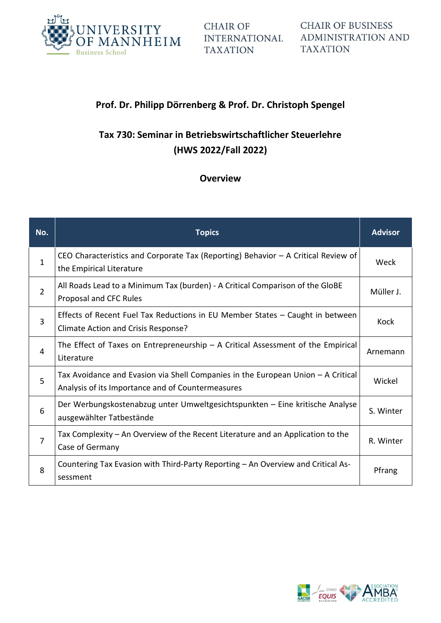

**CHAIR OF INTERNATIONAL TAXATION** 

**CHAIR OF BUSINESS ADMINISTRATION AND TAXATION** 

### **Prof. Dr. Philipp Dörrenberg & Prof. Dr. Christoph Spengel**

# **Tax 730: Seminar in Betriebswirtschaftlicher Steuerlehre (HWS 2022/Fall 2022)**

### **Overview**

| No.            | <b>Topics</b>                                                                                                                         | <b>Advisor</b> |
|----------------|---------------------------------------------------------------------------------------------------------------------------------------|----------------|
| $\mathbf{1}$   | CEO Characteristics and Corporate Tax (Reporting) Behavior $-$ A Critical Review of<br>the Empirical Literature                       | Weck           |
| $\overline{2}$ | All Roads Lead to a Minimum Tax (burden) - A Critical Comparison of the GloBE<br>Proposal and CFC Rules                               | Müller J.      |
| 3              | Effects of Recent Fuel Tax Reductions in EU Member States - Caught in between<br>Climate Action and Crisis Response?                  | Kock           |
| 4              | The Effect of Taxes on Entrepreneurship $-$ A Critical Assessment of the Empirical<br>Literature                                      | Arnemann       |
| 5              | Tax Avoidance and Evasion via Shell Companies in the European Union - A Critical<br>Analysis of its Importance and of Countermeasures | Wickel         |
| 6              | Der Werbungskostenabzug unter Umweltgesichtspunkten – Eine kritische Analyse<br>ausgewählter Tatbestände                              | S. Winter      |
| $\overline{7}$ | Tax Complexity – An Overview of the Recent Literature and an Application to the<br>Case of Germany                                    | R. Winter      |
| 8              | Countering Tax Evasion with Third-Party Reporting - An Overview and Critical As-<br>sessment                                          | Pfrang         |

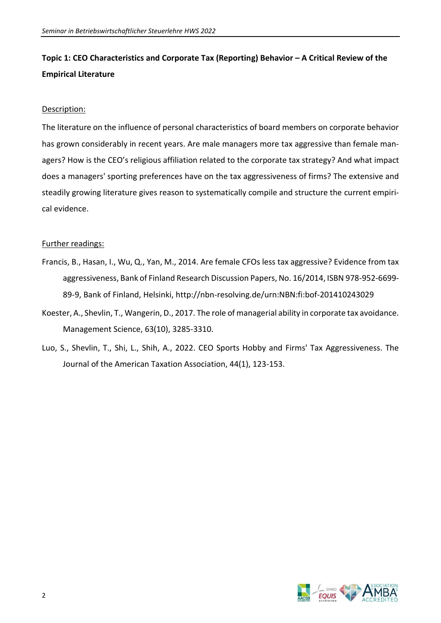# **Topic 1: CEO Characteristics and Corporate Tax (Reporting) Behavior – A Critical Review of the Empirical Literature**

### Description:

The literature on the influence of personal characteristics of board members on corporate behavior has grown considerably in recent years. Are male managers more tax aggressive than female managers? How is the CEO's religious affiliation related to the corporate tax strategy? And what impact does a managers' sporting preferences have on the tax aggressiveness of firms? The extensive and steadily growing literature gives reason to systematically compile and structure the current empirical evidence.

- Francis, B., Hasan, I., Wu, Q., Yan, M., 2014. Are female CFOs less tax aggressive? Evidence from tax aggressiveness, Bank of Finland Research Discussion Papers, No. 16/2014, ISBN 978-952-6699- 89-9, Bank of Finland, Helsinki, http://nbn-resolving.de/urn:NBN:fi:bof-201410243029
- Koester, A., Shevlin, T., Wangerin, D., 2017. The role of managerial ability in corporate tax avoidance. Management Science, 63(10), 3285-3310.
- Luo, S., Shevlin, T., Shi, L., Shih, A., 2022. CEO Sports Hobby and Firms' Tax Aggressiveness. The Journal of the American Taxation Association, 44(1), 123-153.

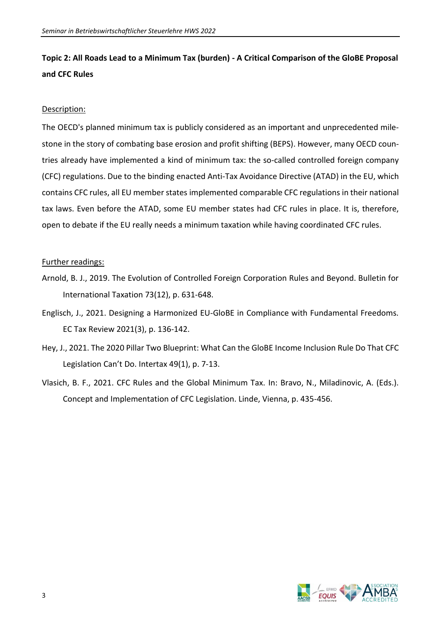## **Topic 2: All Roads Lead to a Minimum Tax (burden) - A Critical Comparison of the GloBE Proposal and CFC Rules**

### Description:

The OECD's planned minimum tax is publicly considered as an important and unprecedented milestone in the story of combating base erosion and profit shifting (BEPS). However, many OECD countries already have implemented a kind of minimum tax: the so-called controlled foreign company (CFC) regulations. Due to the binding enacted Anti-Tax Avoidance Directive (ATAD) in the EU, which contains CFC rules, all EU member states implemented comparable CFC regulations in their national tax laws. Even before the ATAD, some EU member states had CFC rules in place. It is, therefore, open to debate if the EU really needs a minimum taxation while having coordinated CFC rules.

- Arnold, B. J., 2019. The Evolution of Controlled Foreign Corporation Rules and Beyond. Bulletin for International Taxation 73(12), p. 631-648.
- Englisch, J., 2021. Designing a Harmonized EU-GloBE in Compliance with Fundamental Freedoms. EC Tax Review 2021(3), p. 136-142.
- Hey, J., 2021. The 2020 Pillar Two Blueprint: What Can the GloBE Income Inclusion Rule Do That CFC Legislation Can't Do. Intertax 49(1), p. 7-13.
- Vlasich, B. F., 2021. CFC Rules and the Global Minimum Tax. In: Bravo, N., Miladinovic, A. (Eds.). Concept and Implementation of CFC Legislation. Linde, Vienna, p. 435-456.

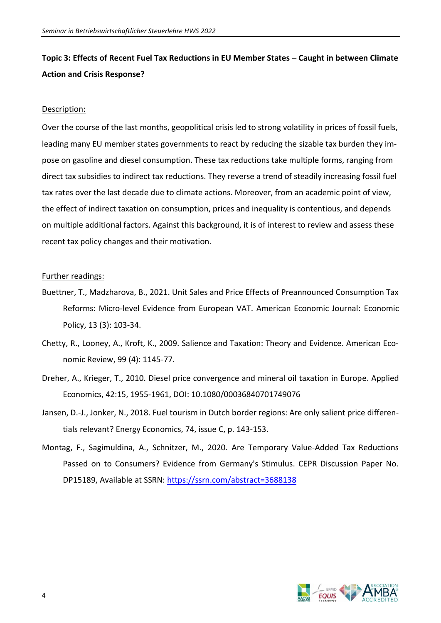## **Topic 3: Effects of Recent Fuel Tax Reductions in EU Member States – Caught in between Climate Action and Crisis Response?**

#### Description:

Over the course of the last months, geopolitical crisis led to strong volatility in prices of fossil fuels, leading many EU member states governments to react by reducing the sizable tax burden they impose on gasoline and diesel consumption. These tax reductions take multiple forms, ranging from direct tax subsidies to indirect tax reductions. They reverse a trend of steadily increasing fossil fuel tax rates over the last decade due to climate actions. Moreover, from an academic point of view, the effect of indirect taxation on consumption, prices and inequality is contentious, and depends on multiple additional factors. Against this background, it is of interest to review and assess these recent tax policy changes and their motivation.

- Buettner, T., Madzharova, B., 2021. Unit Sales and Price Effects of Preannounced Consumption Tax Reforms: Micro-level Evidence from European VAT. American Economic Journal: Economic Policy, 13 (3): 103-34.
- Chetty, R., Looney, A., Kroft, K., 2009. Salience and Taxation: Theory and Evidence. American Economic Review, 99 (4): 1145-77.
- Dreher, A., Krieger, T., 2010. Diesel price convergence and mineral oil taxation in Europe. Applied Economics, 42:15, 1955-1961, DOI: 10.1080/00036840701749076
- Jansen, D.-J., Jonker, N., 2018. Fuel tourism in Dutch border regions: Are only salient price differentials relevant? Energy Economics, 74, issue C, p. 143-153.
- Montag, F., Sagimuldina, A., Schnitzer, M., 2020. Are Temporary Value-Added Tax Reductions Passed on to Consumers? Evidence from Germany's Stimulus. CEPR Discussion Paper No. DP15189, Available at SSRN:<https://ssrn.com/abstract=3688138>

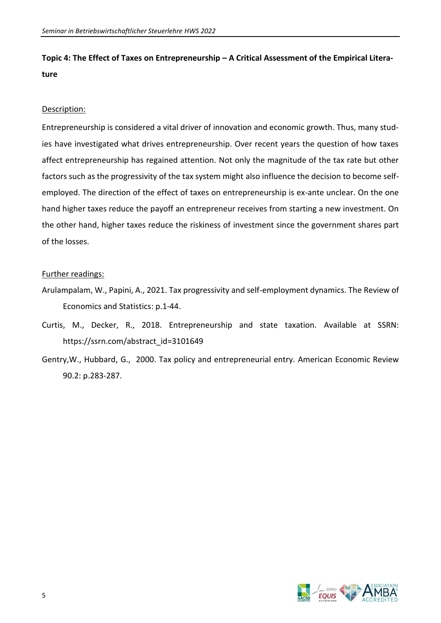**Topic 4: The Effect of Taxes on Entrepreneurship – A Critical Assessment of the Empirical Literature**

### Description:

Entrepreneurship is considered a vital driver of innovation and economic growth. Thus, many studies have investigated what drives entrepreneurship. Over recent years the question of how taxes affect entrepreneurship has regained attention. Not only the magnitude of the tax rate but other factors such as the progressivity of the tax system might also influence the decision to become selfemployed. The direction of the effect of taxes on entrepreneurship is ex-ante unclear. On the one hand higher taxes reduce the payoff an entrepreneur receives from starting a new investment. On the other hand, higher taxes reduce the riskiness of investment since the government shares part of the losses.

- Arulampalam, W., Papini, A., 2021. Tax progressivity and self-employment dynamics. The Review of Economics and Statistics: p.1-44.
- Curtis, M., Decker, R., 2018. Entrepreneurship and state taxation. Available at SSRN: https://ssrn.com/abstract\_id=3101649
- Gentry,W., Hubbard, G., 2000. Tax policy and entrepreneurial entry. American Economic Review 90.2: p.283-287.

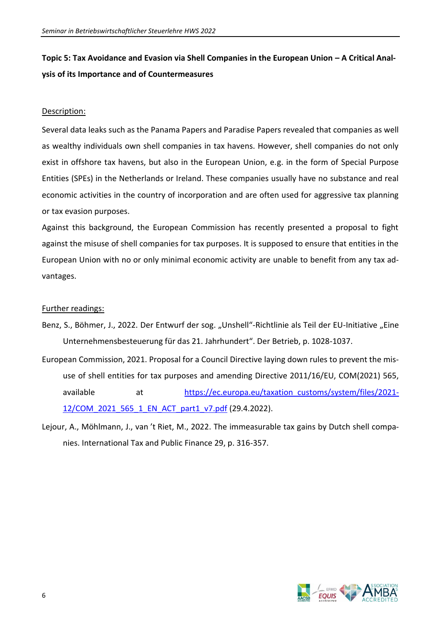# Topic 5: Tax Avoidance and Evasion via Shell Companies in the European Union – A Critical Anal**ysis of its Importance and of Countermeasures**

### Description:

Several data leaks such as the Panama Papers and Paradise Papers revealed that companies as well as wealthy individuals own shell companies in tax havens. However, shell companies do not only exist in offshore tax havens, but also in the European Union, e.g. in the form of Special Purpose Entities (SPEs) in the Netherlands or Ireland. These companies usually have no substance and real economic activities in the country of incorporation and are often used for aggressive tax planning or tax evasion purposes.

Against this background, the European Commission has recently presented a proposal to fight against the misuse of shell companies for tax purposes. It is supposed to ensure that entities in the European Union with no or only minimal economic activity are unable to benefit from any tax advantages.

- Benz, S., Böhmer, J., 2022. Der Entwurf der sog. "Unshell"-Richtlinie als Teil der EU-Initiative "Eine Unternehmensbesteuerung für das 21. Jahrhundert". Der Betrieb, p. 1028-1037.
- European Commission, 2021. Proposal for a Council Directive laying down rules to prevent the misuse of shell entities for tax purposes and amending Directive 2011/16/EU, COM(2021) 565, available at [https://ec.europa.eu/taxation\\_customs/system/files/2021-](https://ec.europa.eu/taxation_customs/system/files/2021-12/COM_2021_565_1_EN_ACT_part1_v7.pdf) [12/COM\\_2021\\_565\\_1\\_EN\\_ACT\\_part1\\_v7.pdf](https://ec.europa.eu/taxation_customs/system/files/2021-12/COM_2021_565_1_EN_ACT_part1_v7.pdf) (29.4.2022).
- Lejour, A., Möhlmann, J., van 't Riet, M., 2022. The immeasurable tax gains by Dutch shell companies. International Tax and Public Finance 29, p. 316-357.

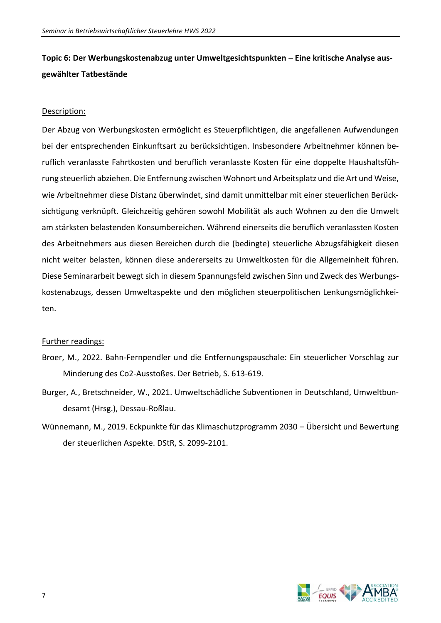# **Topic 6: Der Werbungskostenabzug unter Umweltgesichtspunkten – Eine kritische Analyse ausgewählter Tatbestände**

### Description:

Der Abzug von Werbungskosten ermöglicht es Steuerpflichtigen, die angefallenen Aufwendungen bei der entsprechenden Einkunftsart zu berücksichtigen. Insbesondere Arbeitnehmer können beruflich veranlasste Fahrtkosten und beruflich veranlasste Kosten für eine doppelte Haushaltsführung steuerlich abziehen. Die Entfernung zwischen Wohnort und Arbeitsplatz und die Art und Weise, wie Arbeitnehmer diese Distanz überwindet, sind damit unmittelbar mit einer steuerlichen Berücksichtigung verknüpft. Gleichzeitig gehören sowohl Mobilität als auch Wohnen zu den die Umwelt am stärksten belastenden Konsumbereichen. Während einerseits die beruflich veranlassten Kosten des Arbeitnehmers aus diesen Bereichen durch die (bedingte) steuerliche Abzugsfähigkeit diesen nicht weiter belasten, können diese andererseits zu Umweltkosten für die Allgemeinheit führen. Diese Seminararbeit bewegt sich in diesem Spannungsfeld zwischen Sinn und Zweck des Werbungskostenabzugs, dessen Umweltaspekte und den möglichen steuerpolitischen Lenkungsmöglichkeiten.

- Broer, M., 2022. Bahn-Fernpendler und die Entfernungspauschale: Ein steuerlicher Vorschlag zur Minderung des Co2-Ausstoßes. Der Betrieb, S. 613-619.
- Burger, A., Bretschneider, W., 2021. Umweltschädliche Subventionen in Deutschland, Umweltbundesamt (Hrsg.), Dessau-Roßlau.
- Wünnemann, M., 2019. Eckpunkte für das Klimaschutzprogramm 2030 Übersicht und Bewertung der steuerlichen Aspekte. DStR, S. 2099-2101.

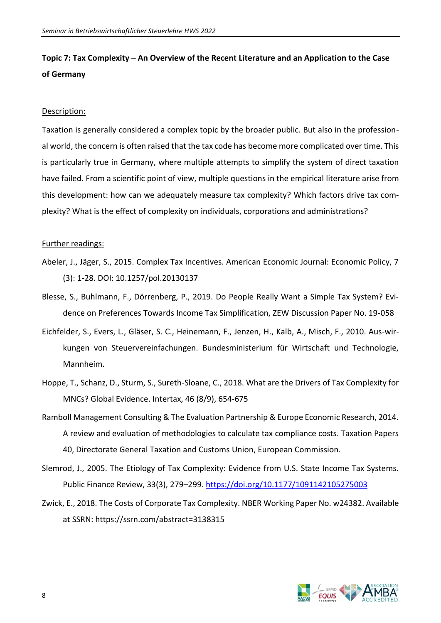### **Topic 7: Tax Complexity – An Overview of the Recent Literature and an Application to the Case of Germany**

#### Description:

Taxation is generally considered a complex topic by the broader public. But also in the professional world, the concern is often raised that the tax code has become more complicated over time. This is particularly true in Germany, where multiple attempts to simplify the system of direct taxation have failed. From a scientific point of view, multiple questions in the empirical literature arise from this development: how can we adequately measure tax complexity? Which factors drive tax complexity? What is the effect of complexity on individuals, corporations and administrations?

- Abeler, J., Jäger, S., 2015. Complex Tax Incentives. American Economic Journal: Economic Policy, 7 (3): 1-28. DOI: 10.1257/pol.20130137
- Blesse, S., Buhlmann, F., Dörrenberg, P., 2019. Do People Really Want a Simple Tax System? Evidence on Preferences Towards Income Tax Simplification, ZEW Discussion Paper No. 19-058
- Eichfelder, S., Evers, L., Gläser, S. C., Heinemann, F., Jenzen, H., Kalb, A., Misch, F., 2010. Aus-wirkungen von Steuervereinfachungen. Bundesministerium für Wirtschaft und Technologie, Mannheim.
- Hoppe, T., Schanz, D., Sturm, S., Sureth-Sloane, C., 2018. What are the Drivers of Tax Complexity for MNCs? Global Evidence. Intertax, 46 (8/9), 654-675
- Ramboll Management Consulting & The Evaluation Partnership & Europe Economic Research, 2014. A review and evaluation of methodologies to calculate tax compliance costs. Taxation Papers 40, Directorate General Taxation and Customs Union, European Commission.
- Slemrod, J., 2005. The Etiology of Tax Complexity: Evidence from U.S. State Income Tax Systems. Public Finance Review, 33(3), 279-299.<https://doi.org/10.1177/1091142105275003>
- Zwick, E., 2018. The Costs of Corporate Tax Complexity. NBER Working Paper No. w24382. Available at SSRN: https://ssrn.com/abstract=3138315